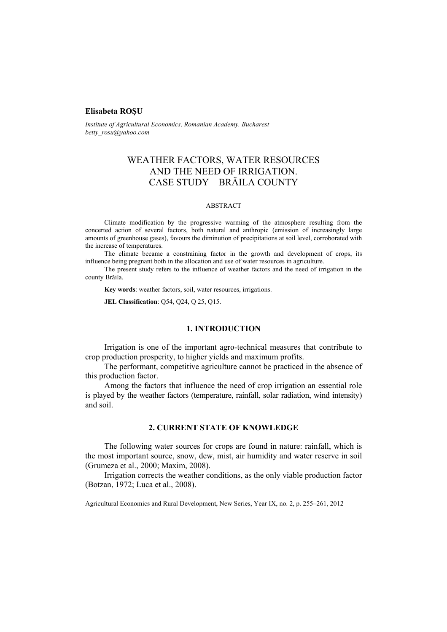## **Elisabeta ROŞU**

*Institute of Agricultural Economics, Romanian Academy, Bucharest betty\_rosu@yahoo.com*

# WEATHER FACTORS, WATER RESOURCES AND THE NEED OF IRRIGATION. CASE STUDY – BRĂILA COUNTY

#### ABSTRACT

Climate modification by the progressive warming of the atmosphere resulting from the concerted action of several factors, both natural and anthropic (emission of increasingly large amounts of greenhouse gases), favours the diminution of precipitations at soil level, corroborated with the increase of temperatures.

The climate became a constraining factor in the growth and development of crops, its influence being pregnant both in the allocation and use of water resources in agriculture.

The present study refers to the influence of weather factors and the need of irrigation in the county Brăila.

**Key words**: weather factors, soil, water resources, irrigations.

**JEL Classification**: Q54, Q24, Q 25, Q15.

# **1. INTRODUCTION**

Irrigation is one of the important agro-technical measures that contribute to crop production prosperity, to higher yields and maximum profits.

The performant, competitive agriculture cannot be practiced in the absence of this production factor.

Among the factors that influence the need of crop irrigation an essential role is played by the weather factors (temperature, rainfall, solar radiation, wind intensity) and soil.

### **2. CURRENT STATE OF KNOWLEDGE**

The following water sources for crops are found in nature: rainfall, which is the most important source, snow, dew, mist, air humidity and water reserve in soil (Grumeza et al., 2000; Maxim, 2008).

Irrigation corrects the weather conditions, as the only viable production factor (Botzan, 1972; Luca et al., 2008).

Agricultural Economics and Rural Development, New Series, Year IX, no. 2, p. 255–261, 2012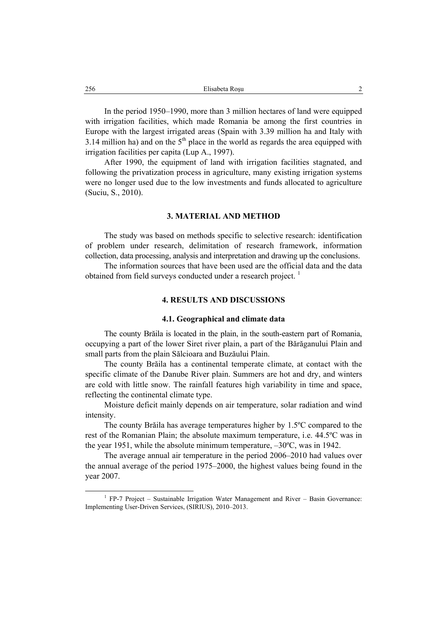In the period 1950–1990, more than 3 million hectares of land were equipped with irrigation facilities, which made Romania be among the first countries in Europe with the largest irrigated areas (Spain with 3.39 million ha and Italy with 3.14 million ha) and on the  $5<sup>th</sup>$  place in the world as regards the area equipped with irrigation facilities per capita (Lup A., 1997).

After 1990, the equipment of land with irrigation facilities stagnated, and following the privatization process in agriculture, many existing irrigation systems were no longer used due to the low investments and funds allocated to agriculture (Suciu, S., 2010).

#### **3. MATERIAL AND METHOD**

The study was based on methods specific to selective research: identification of problem under research, delimitation of research framework, information collection, data processing, analysis and interpretation and drawing up the conclusions.

The information sources that have been used are the official data and the data obtained from field surveys conducted under a research project.<sup>1</sup>

# **4. RESULTS AND DISCUSSIONS**

#### **4.1. Geographical and climate data**

The county Brăila is located in the plain, in the south-eastern part of Romania, occupying a part of the lower Siret river plain, a part of the Bărăganului Plain and small parts from the plain Sălcioara and Buzăului Plain.

The county Brăila has a continental temperate climate, at contact with the specific climate of the Danube River plain. Summers are hot and dry, and winters are cold with little snow. The rainfall features high variability in time and space, reflecting the continental climate type.

Moisture deficit mainly depends on air temperature, solar radiation and wind intensity.

The county Brăila has average temperatures higher by 1.5ºC compared to the rest of the Romanian Plain; the absolute maximum temperature, i.e. 44.5ºC was in the year 1951, while the absolute minimum temperature, –30ºC, was in 1942.

The average annual air temperature in the period 2006–2010 had values over the annual average of the period 1975–2000, the highest values being found in the year 2007.

 $\frac{1}{1}$ <sup>1</sup> FP-7 Project – Sustainable Irrigation Water Management and River – Basin Governance: Implementing User-Driven Services, (SIRIUS), 2010–2013.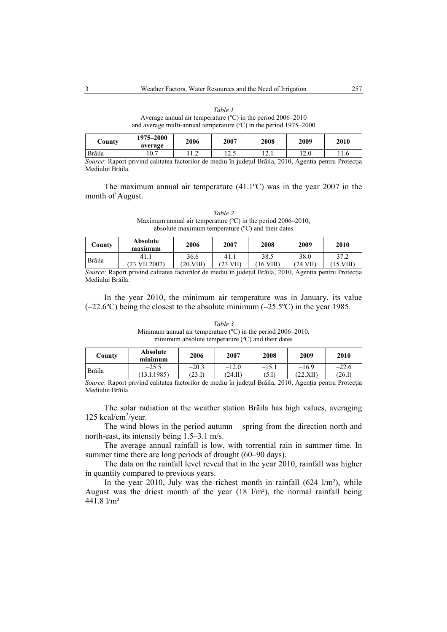*Table 1*  Average annual air temperature (ºC) in the period 2006–2010 and average multi-annual temperature (ºC) in the period 1975–2000

| County                 | 1975–2000<br>average | 2006 | 2007   | 2008                      | 2009 | 2010     |
|------------------------|----------------------|------|--------|---------------------------|------|----------|
| Brăila                 | 0.7                  | .    | ن که 1 | $1 \overline{2}$ . 1      | 12.0 |          |
| $\sim$<br>$\mathbf{r}$ |                      |      |        | $\sim$ $\sim$<br>$1 - 21$ |      | <b>D</b> |

*Source*: Raport privind calitatea factorilor de mediu în judeţul Brăila, 2010, Agenţia pentru Protecţia Mediului Brăila*.* 

The maximum annual air temperature (41.1ºC) was in the year 2007 in the month of August.

*Table 2*  Maximum annual air temperature (ºC) in the period 2006–2010, absolute maximum temperature (ºC) and their dates

| County | <b>Absolute</b><br>maximum | 2006      | 2007     | 2008        | 2009    | 2010    |
|--------|----------------------------|-----------|----------|-------------|---------|---------|
| Brăila | 41.1                       | 36.6      | 41       | 38.5        | 38.0    | 37.2    |
|        | $(23. \text{VII}.2007)$    | ′20.VIII` | ′23.VII) | VIII<br>16. | (24.VII | .5.VIII |

*Source:* Raport privind calitatea factorilor de mediu în judeţul Brăila, 2010, Agenţia pentru Protecţia Mediului Brăila.

In the year 2010, the minimum air temperature was in January, its value  $(-22.6^{\circ}C)$  being the closest to the absolute minimum  $(-25.5^{\circ}C)$  in the year 1985.

*Table 3*  Minimum annual air temperature (ºC) in the period 2006–2010, minimum absolute temperature (ºC) and their dates

| County | Absolute<br>minimum | 2006    | 2007    | 2008    | 2009     | 2010    |
|--------|---------------------|---------|---------|---------|----------|---------|
| Brăila | $-25.5$             | $-20.3$ | $-12.0$ | $-15.1$ | $-16.9$  | $-22.6$ |
|        | 13.I.1985)          | 23.1    | (24.II) | 3.D     | (22.XII) | (26.F   |

*Source*: Raport privind calitatea factorilor de mediu în judeţul Brăila, 2010, Agenţia pentru Protecţia Mediului Brăila.

The solar radiation at the weather station Brăila has high values, averaging 125 kcal/cm<sup>2</sup>/year.

The wind blows in the period autumn – spring from the direction north and north-east, its intensity being 1.5–3.1 m/s.

The average annual rainfall is low, with torrential rain in summer time. In summer time there are long periods of drought (60–90 days).

The data on the rainfall level reveal that in the year 2010, rainfall was higher in quantity compared to previous years.

In the year 2010, July was the richest month in rainfall  $(624 \frac{1}{m^2})$ , while August was the driest month of the year  $(18 \text{ l/m}^2)$ , the normal rainfall being 441.8 l/m²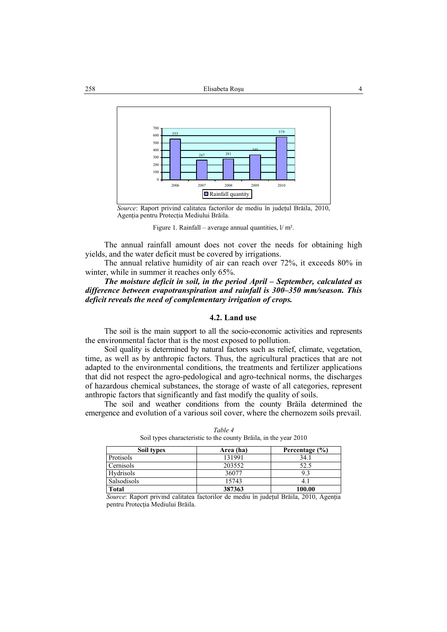

*Source*: Raport privind calitatea factorilor de mediu în judeţul Brăila, 2010, Agenţia pentru Protecţia Mediului Brăila.

Figure 1. Rainfall – average annual quantities,  $1/m^2$ .

The annual rainfall amount does not cover the needs for obtaining high yields, and the water deficit must be covered by irrigations.

The annual relative humidity of air can reach over 72%, it exceeds 80% in winter, while in summer it reaches only 65%.

*The moisture deficit in soil, in the period April – September, calculated as difference between evapotranspiration and rainfall is 300–350 mm/season. This deficit reveals the need of complementary irrigation of crops.* 

## **4.2. Land use**

The soil is the main support to all the socio-economic activities and represents the environmental factor that is the most exposed to pollution.

Soil quality is determined by natural factors such as relief, climate, vegetation, time, as well as by anthropic factors. Thus, the agricultural practices that are not adapted to the environmental conditions, the treatments and fertilizer applications that did not respect the agro-pedological and agro-technical norms, the discharges of hazardous chemical substances, the storage of waste of all categories, represent anthropic factors that significantly and fast modify the quality of soils.

The soil and weather conditions from the county Brăila determined the emergence and evolution of a various soil cover, where the chernozem soils prevail.

| Soil types   | Area (ha) | Percentage $(\% )$ |
|--------------|-----------|--------------------|
| Protisols    | 131991    | 34.1               |
| Cernisols    | 203552    | 52.5               |
| Hydrisols    | 36077     |                    |
| Salsodisols  | 15743     |                    |
| <b>Total</b> | 387363    | 100.00             |

*Table 4*  Soil types characteristic to the county Brăila, in the year 2010

*Source*: Raport privind calitatea factorilor de mediu în județul Brăila, 2010, Agenția pentru Protecţia Mediului Brăila.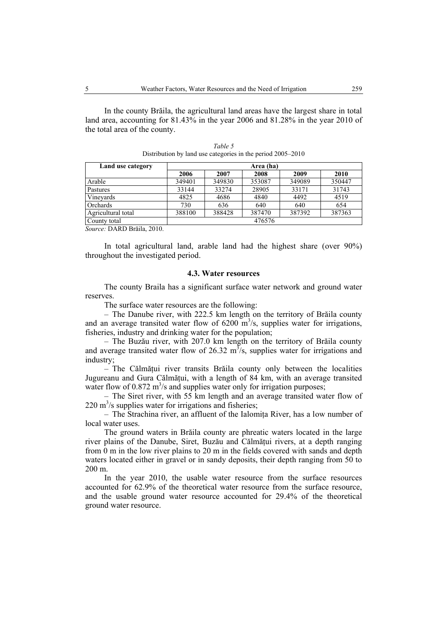In the county Brăila, the agricultural land areas have the largest share in total land area, accounting for 81.43% in the year 2006 and 81.28% in the year 2010 of the total area of the county.

| Land use category      | Area (ha) |        |        |        |        |
|------------------------|-----------|--------|--------|--------|--------|
|                        | 2006      | 2007   | 2008   | 2009   | 2010   |
| Arable                 | 349401    | 349830 | 353087 | 349089 | 350447 |
| Pastures               | 33144     | 33274  | 28905  | 33171  | 31743  |
| Vinevards              | 4825      | 4686   | 4840   | 4492   | 4519   |
| <b>Orchards</b>        | 730       | 636    | 640    | 640    | 654    |
| Agricultural total     | 388100    | 388428 | 387470 | 387392 | 387363 |
| 476576<br>County total |           |        |        |        |        |

*Table 5*  Distribution by land use categories in the period 2005–2010

*Source:* DARD Brăila, 2010.

In total agricultural land, arable land had the highest share (over 90%) throughout the investigated period.

#### **4.3. Water resources**

The county Braila has a significant surface water network and ground water reserves.

The surface water resources are the following:

– The Danube river, with 222.5 km length on the territory of Brăila county and an average transited water flow of  $6200 \text{ m}^3/\text{s}$ , supplies water for irrigations, fisheries, industry and drinking water for the population;

– The Buzău river, with 207.0 km length on the territory of Brăila county and average transited water flow of 26.32  $m^3$ /s, supplies water for irrigations and industry;

– The Călmătui river transits Brăila county only between the localities Jugureanu and Gura Călmățui, with a length of 84 km, with an average transited water flow of  $0.872 \text{ m}^3$ /s and supplies water only for irrigation purposes;

– The Siret river, with 55 km length and an average transited water flow of  $220 \text{ m}^3$ /s supplies water for irrigations and fisheries;

– The Strachina river, an affluent of the Ialomiţa River, has a low number of local water uses.

The ground waters in Brăila county are phreatic waters located in the large river plains of the Danube, Siret, Buzău and Călmățui rivers, at a depth ranging from 0 m in the low river plains to 20 m in the fields covered with sands and depth waters located either in gravel or in sandy deposits, their depth ranging from 50 to 200 m.

In the year 2010, the usable water resource from the surface resources accounted for 62.9% of the theoretical water resource from the surface resource, and the usable ground water resource accounted for 29.4% of the theoretical ground water resource.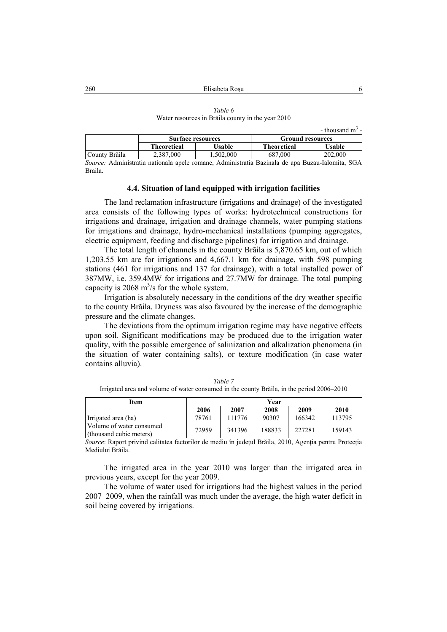|                                                   | Table 6 |  |  |
|---------------------------------------------------|---------|--|--|
| Water resources in Brăila county in the year 2010 |         |  |  |

|               |                          |          |                         | - thousand $m^3$ - |  |
|---------------|--------------------------|----------|-------------------------|--------------------|--|
|               | <b>Surface resources</b> |          | <b>Ground resources</b> |                    |  |
| Theoretical   |                          | Usable   | Theoretical             | Usable             |  |
| County Brăila | 2.387.000                | .502.000 | 687.000                 | 202.000            |  |
| .<br>______   |                          | .        |                         |                    |  |

*Source:* Administratia nationala apele romane, Administratia Bazinala de apa Buzau-Ialomita, SGA Braila.

## **4.4. Situation of land equipped with irrigation facilities**

The land reclamation infrastructure (irrigations and drainage) of the investigated area consists of the following types of works: hydrotechnical constructions for irrigations and drainage, irrigation and drainage channels, water pumping stations for irrigations and drainage, hydro-mechanical installations (pumping aggregates, electric equipment, feeding and discharge pipelines) for irrigation and drainage.

The total length of channels in the county Brăila is 5,870.65 km, out of which 1,203.55 km are for irrigations and 4,667.1 km for drainage, with 598 pumping stations (461 for irrigations and 137 for drainage), with a total installed power of 387MW, i.e. 359.4MW for irrigations and 27.7MW for drainage. The total pumping capacity is  $2068 \text{ m}^3/\text{s}$  for the whole system.

Irrigation is absolutely necessary in the conditions of the dry weather specific to the county Brăila. Dryness was also favoured by the increase of the demographic pressure and the climate changes.

The deviations from the optimum irrigation regime may have negative effects upon soil. Significant modifications may be produced due to the irrigation water quality, with the possible emergence of salinization and alkalization phenomena (in the situation of water containing salts), or texture modification (in case water contains alluvia).

| Item                                                | Year  |        |        |        |        |  |
|-----------------------------------------------------|-------|--------|--------|--------|--------|--|
|                                                     | 2006  | 2007   | 2008   | 2009   | 2010   |  |
| Irrigated area (ha)                                 | 78761 | 111776 | 90307  | 166342 | 113795 |  |
| Volume of water consumed<br>(thousand cubic meters) | 72959 | 341396 | 188833 | 227281 | 159143 |  |

*Table 7*  Irrigated area and volume of water consumed in the county Brăila, in the period 2006–2010

*Source*: Raport privind calitatea factorilor de mediu în județul Brăila, 2010, Agenția pentru Protecția Mediului Brăila.

The irrigated area in the year 2010 was larger than the irrigated area in previous years, except for the year 2009.

The volume of water used for irrigations had the highest values in the period 2007–2009, when the rainfall was much under the average, the high water deficit in soil being covered by irrigations.